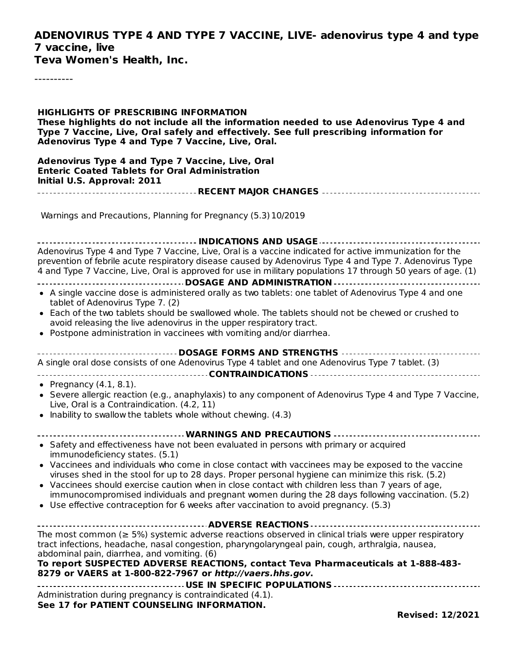# **ADENOVIRUS TYPE 4 AND TYPE 7 VACCINE, LIVE- adenovirus type 4 and type 7 vaccine, live**

**Teva Women's Health, Inc.**

----------

| <b>HIGHLIGHTS OF PRESCRIBING INFORMATION</b><br>These highlights do not include all the information needed to use Adenovirus Type 4 and<br>Type 7 Vaccine, Live, Oral safely and effectively. See full prescribing information for<br>Adenovirus Type 4 and Type 7 Vaccine, Live, Oral.                                                                                                                                                                                                                    |  |  |  |  |  |  |
|------------------------------------------------------------------------------------------------------------------------------------------------------------------------------------------------------------------------------------------------------------------------------------------------------------------------------------------------------------------------------------------------------------------------------------------------------------------------------------------------------------|--|--|--|--|--|--|
| Adenovirus Type 4 and Type 7 Vaccine, Live, Oral<br><b>Enteric Coated Tablets for Oral Administration</b><br>Initial U.S. Approval: 2011                                                                                                                                                                                                                                                                                                                                                                   |  |  |  |  |  |  |
|                                                                                                                                                                                                                                                                                                                                                                                                                                                                                                            |  |  |  |  |  |  |
| Warnings and Precautions, Planning for Pregnancy (5.3) 10/2019                                                                                                                                                                                                                                                                                                                                                                                                                                             |  |  |  |  |  |  |
|                                                                                                                                                                                                                                                                                                                                                                                                                                                                                                            |  |  |  |  |  |  |
| Adenovirus Type 4 and Type 7 Vaccine, Live, Oral is a vaccine indicated for active immunization for the<br>prevention of febrile acute respiratory disease caused by Adenovirus Type 4 and Type 7. Adenovirus Type<br>4 and Type 7 Vaccine, Live, Oral is approved for use in military populations 17 through 50 years of age. (1)                                                                                                                                                                         |  |  |  |  |  |  |
| • A single vaccine dose is administered orally as two tablets: one tablet of Adenovirus Type 4 and one                                                                                                                                                                                                                                                                                                                                                                                                     |  |  |  |  |  |  |
| tablet of Adenovirus Type 7. (2)<br>• Each of the two tablets should be swallowed whole. The tablets should not be chewed or crushed to<br>avoid releasing the live adenovirus in the upper respiratory tract.<br>• Postpone administration in vaccinees with vomiting and/or diarrhea.                                                                                                                                                                                                                    |  |  |  |  |  |  |
| ________________________________DOSAGE FORMS AND STRENGTHS ______________________                                                                                                                                                                                                                                                                                                                                                                                                                          |  |  |  |  |  |  |
| A single oral dose consists of one Adenovirus Type 4 tablet and one Adenovirus Type 7 tablet. (3)                                                                                                                                                                                                                                                                                                                                                                                                          |  |  |  |  |  |  |
|                                                                                                                                                                                                                                                                                                                                                                                                                                                                                                            |  |  |  |  |  |  |
| • Pregnancy $(4.1, 8.1)$ .<br>• Severe allergic reaction (e.g., anaphylaxis) to any component of Adenovirus Type 4 and Type 7 Vaccine,<br>Live, Oral is a Contraindication. (4.2, 11)<br>• Inability to swallow the tablets whole without chewing. (4.3)                                                                                                                                                                                                                                                   |  |  |  |  |  |  |
|                                                                                                                                                                                                                                                                                                                                                                                                                                                                                                            |  |  |  |  |  |  |
| • Safety and effectiveness have not been evaluated in persons with primary or acquired<br>immunodeficiency states. (5.1)                                                                                                                                                                                                                                                                                                                                                                                   |  |  |  |  |  |  |
| • Vaccinees and individuals who come in close contact with vaccinees may be exposed to the vaccine<br>viruses shed in the stool for up to 28 days. Proper personal hygiene can minimize this risk. (5.2)<br>• Vaccinees should exercise caution when in close contact with children less than 7 years of age,<br>immunocompromised individuals and pregnant women during the 28 days following vaccination. (5.2)<br>• Use effective contraception for 6 weeks after vaccination to avoid pregnancy. (5.3) |  |  |  |  |  |  |
|                                                                                                                                                                                                                                                                                                                                                                                                                                                                                                            |  |  |  |  |  |  |
| The most common ( $\geq$ 5%) systemic adverse reactions observed in clinical trials were upper respiratory<br>tract infections, headache, nasal congestion, pharyngolaryngeal pain, cough, arthralgia, nausea,<br>abdominal pain, diarrhea, and vomiting. (6)                                                                                                                                                                                                                                              |  |  |  |  |  |  |
| To report SUSPECTED ADVERSE REACTIONS, contact Teva Pharmaceuticals at 1-888-483-<br>8279 or VAERS at 1-800-822-7967 or http://vaers.hhs.gov.                                                                                                                                                                                                                                                                                                                                                              |  |  |  |  |  |  |
|                                                                                                                                                                                                                                                                                                                                                                                                                                                                                                            |  |  |  |  |  |  |
| Administration during pregnancy is contraindicated (4.1).<br>See 17 for PATIENT COUNSELING INFORMATION.                                                                                                                                                                                                                                                                                                                                                                                                    |  |  |  |  |  |  |
| <b>Revised: 12/2021</b>                                                                                                                                                                                                                                                                                                                                                                                                                                                                                    |  |  |  |  |  |  |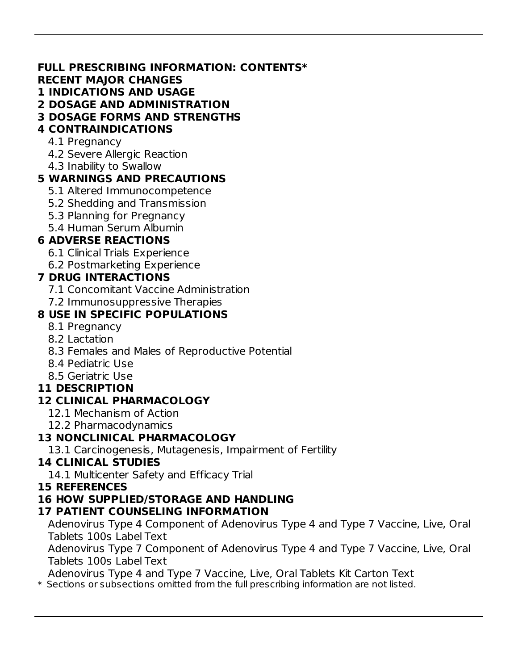# **FULL PRESCRIBING INFORMATION: CONTENTS\***

# **RECENT MAJOR CHANGES**

- **1 INDICATIONS AND USAGE**
- **2 DOSAGE AND ADMINISTRATION**

# **3 DOSAGE FORMS AND STRENGTHS**

# **4 CONTRAINDICATIONS**

- 4.1 Pregnancy
- 4.2 Severe Allergic Reaction
- 4.3 Inability to Swallow

# **5 WARNINGS AND PRECAUTIONS**

- 5.1 Altered Immunocompetence
- 5.2 Shedding and Transmission
- 5.3 Planning for Pregnancy
- 5.4 Human Serum Albumin

# **6 ADVERSE REACTIONS**

- 6.1 Clinical Trials Experience
- 6.2 Postmarketing Experience

# **7 DRUG INTERACTIONS**

- 7.1 Concomitant Vaccine Administration
- 7.2 Immunosuppressive Therapies

# **8 USE IN SPECIFIC POPULATIONS**

- 8.1 Pregnancy
- 8.2 Lactation
- 8.3 Females and Males of Reproductive Potential
- 8.4 Pediatric Use
- 8.5 Geriatric Use

# **11 DESCRIPTION**

# **12 CLINICAL PHARMACOLOGY**

- 12.1 Mechanism of Action
- 12.2 Pharmacodynamics

# **13 NONCLINICAL PHARMACOLOGY**

13.1 Carcinogenesis, Mutagenesis, Impairment of Fertility

# **14 CLINICAL STUDIES**

14.1 Multicenter Safety and Efficacy Trial

### **15 REFERENCES**

# **16 HOW SUPPLIED/STORAGE AND HANDLING**

### **17 PATIENT COUNSELING INFORMATION**

Adenovirus Type 4 Component of Adenovirus Type 4 and Type 7 Vaccine, Live, Oral Tablets 100s Label Text

Adenovirus Type 7 Component of Adenovirus Type 4 and Type 7 Vaccine, Live, Oral Tablets 100s Label Text

Adenovirus Type 4 and Type 7 Vaccine, Live, Oral Tablets Kit Carton Text

\* Sections or subsections omitted from the full prescribing information are not listed.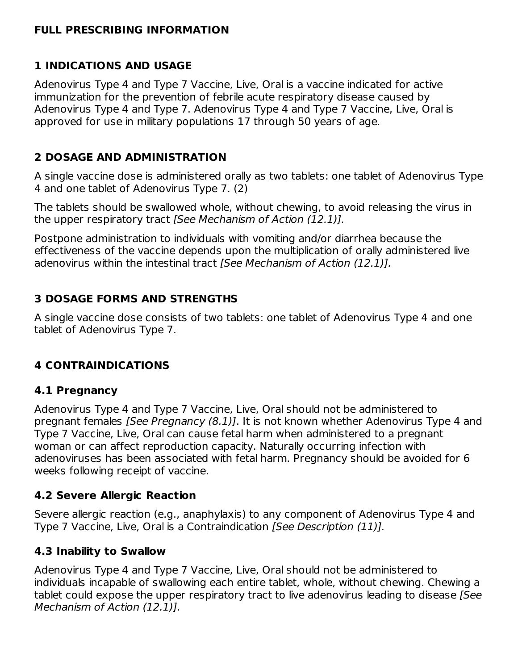#### **FULL PRESCRIBING INFORMATION**

### **1 INDICATIONS AND USAGE**

Adenovirus Type 4 and Type 7 Vaccine, Live, Oral is a vaccine indicated for active immunization for the prevention of febrile acute respiratory disease caused by Adenovirus Type 4 and Type 7. Adenovirus Type 4 and Type 7 Vaccine, Live, Oral is approved for use in military populations 17 through 50 years of age.

# **2 DOSAGE AND ADMINISTRATION**

A single vaccine dose is administered orally as two tablets: one tablet of Adenovirus Type 4 and one tablet of Adenovirus Type 7. (2)

The tablets should be swallowed whole, without chewing, to avoid releasing the virus in the upper respiratory tract [See Mechanism of Action (12.1)].

Postpone administration to individuals with vomiting and/or diarrhea because the effectiveness of the vaccine depends upon the multiplication of orally administered live adenovirus within the intestinal tract [See Mechanism of Action (12.1)].

# **3 DOSAGE FORMS AND STRENGTHS**

A single vaccine dose consists of two tablets: one tablet of Adenovirus Type 4 and one tablet of Adenovirus Type 7.

### **4 CONTRAINDICATIONS**

### **4.1 Pregnancy**

Adenovirus Type 4 and Type 7 Vaccine, Live, Oral should not be administered to pregnant females [See Pregnancy (8.1)]. It is not known whether Adenovirus Type 4 and Type 7 Vaccine, Live, Oral can cause fetal harm when administered to a pregnant woman or can affect reproduction capacity. Naturally occurring infection with adenoviruses has been associated with fetal harm. Pregnancy should be avoided for 6 weeks following receipt of vaccine.

### **4.2 Severe Allergic Reaction**

Severe allergic reaction (e.g., anaphylaxis) to any component of Adenovirus Type 4 and Type 7 Vaccine, Live, Oral is a Contraindication *[See Description (11)].* 

### **4.3 Inability to Swallow**

Adenovirus Type 4 and Type 7 Vaccine, Live, Oral should not be administered to individuals incapable of swallowing each entire tablet, whole, without chewing. Chewing a tablet could expose the upper respiratory tract to live adenovirus leading to disease [See Mechanism of Action (12.1)].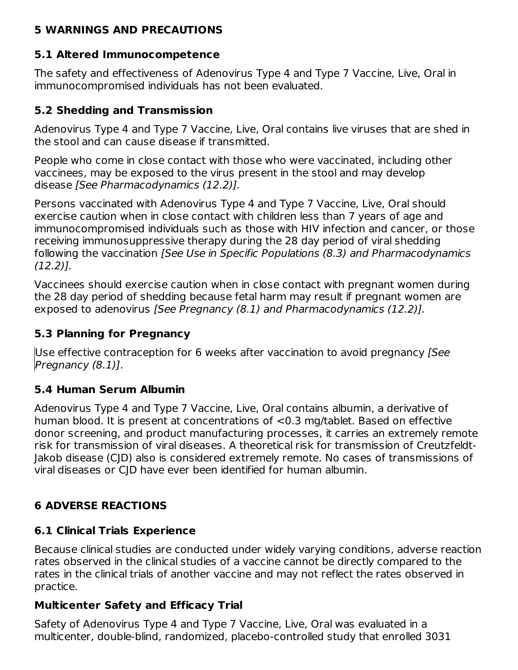## **5 WARNINGS AND PRECAUTIONS**

### **5.1 Altered Immunocompetence**

The safety and effectiveness of Adenovirus Type 4 and Type 7 Vaccine, Live, Oral in immunocompromised individuals has not been evaluated.

# **5.2 Shedding and Transmission**

Adenovirus Type 4 and Type 7 Vaccine, Live, Oral contains live viruses that are shed in the stool and can cause disease if transmitted.

People who come in close contact with those who were vaccinated, including other vaccinees, may be exposed to the virus present in the stool and may develop disease [See Pharmacodynamics (12.2)].

Persons vaccinated with Adenovirus Type 4 and Type 7 Vaccine, Live, Oral should exercise caution when in close contact with children less than 7 years of age and immunocompromised individuals such as those with HIV infection and cancer, or those receiving immunosuppressive therapy during the 28 day period of viral shedding following the vaccination [See Use in Specific Populations (8.3) and Pharmacodynamics (12.2)].

Vaccinees should exercise caution when in close contact with pregnant women during the 28 day period of shedding because fetal harm may result if pregnant women are exposed to adenovirus [See Pregnancy (8.1) and Pharmacodynamics (12.2)].

# **5.3 Planning for Pregnancy**

Use effective contraception for 6 weeks after vaccination to avoid pregnancy [See Pregnancy (8.1)].

# **5.4 Human Serum Albumin**

Adenovirus Type 4 and Type 7 Vaccine, Live, Oral contains albumin, a derivative of human blood. It is present at concentrations of <0.3 mg/tablet. Based on effective donor screening, and product manufacturing processes, it carries an extremely remote risk for transmission of viral diseases. A theoretical risk for transmission of Creutzfeldt-Jakob disease (CJD) also is considered extremely remote. No cases of transmissions of viral diseases or CJD have ever been identified for human albumin.

# **6 ADVERSE REACTIONS**

# **6.1 Clinical Trials Experience**

Because clinical studies are conducted under widely varying conditions, adverse reaction rates observed in the clinical studies of a vaccine cannot be directly compared to the rates in the clinical trials of another vaccine and may not reflect the rates observed in practice.

### **Multicenter Safety and Efficacy Trial**

Safety of Adenovirus Type 4 and Type 7 Vaccine, Live, Oral was evaluated in a multicenter, double-blind, randomized, placebo-controlled study that enrolled 3031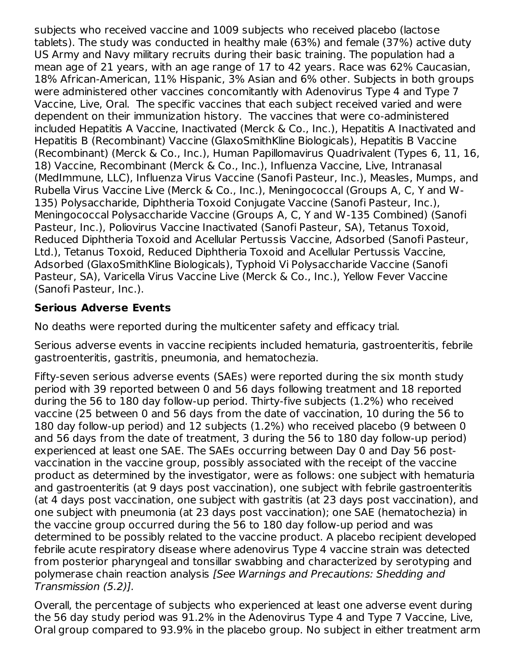subjects who received vaccine and 1009 subjects who received placebo (lactose tablets). The study was conducted in healthy male (63%) and female (37%) active duty US Army and Navy military recruits during their basic training. The population had a mean age of 21 years, with an age range of 17 to 42 years. Race was 62% Caucasian, 18% African-American, 11% Hispanic, 3% Asian and 6% other. Subjects in both groups were administered other vaccines concomitantly with Adenovirus Type 4 and Type 7 Vaccine, Live, Oral. The specific vaccines that each subject received varied and were dependent on their immunization history. The vaccines that were co-administered included Hepatitis A Vaccine, Inactivated (Merck & Co., Inc.), Hepatitis A Inactivated and Hepatitis B (Recombinant) Vaccine (GlaxoSmithKline Biologicals), Hepatitis B Vaccine (Recombinant) (Merck & Co., Inc.), Human Papillomavirus Quadrivalent (Types 6, 11, 16, 18) Vaccine, Recombinant (Merck & Co., Inc.), Influenza Vaccine, Live, Intranasal (MedImmune, LLC), Influenza Virus Vaccine (Sanofi Pasteur, Inc.), Measles, Mumps, and Rubella Virus Vaccine Live (Merck & Co., Inc.), Meningococcal (Groups A, C, Y and W-135) Polysaccharide, Diphtheria Toxoid Conjugate Vaccine (Sanofi Pasteur, Inc.), Meningococcal Polysaccharide Vaccine (Groups A, C, Y and W-135 Combined) (Sanofi Pasteur, Inc.), Poliovirus Vaccine Inactivated (Sanofi Pasteur, SA), Tetanus Toxoid, Reduced Diphtheria Toxoid and Acellular Pertussis Vaccine, Adsorbed (Sanofi Pasteur, Ltd.), Tetanus Toxoid, Reduced Diphtheria Toxoid and Acellular Pertussis Vaccine, Adsorbed (GlaxoSmithKline Biologicals), Typhoid Vi Polysaccharide Vaccine (Sanofi Pasteur, SA), Varicella Virus Vaccine Live (Merck & Co., Inc.), Yellow Fever Vaccine (Sanofi Pasteur, Inc.).

#### **Serious Adverse Events**

No deaths were reported during the multicenter safety and efficacy trial.

Serious adverse events in vaccine recipients included hematuria, gastroenteritis, febrile gastroenteritis, gastritis, pneumonia, and hematochezia.

Fifty-seven serious adverse events (SAEs) were reported during the six month study period with 39 reported between 0 and 56 days following treatment and 18 reported during the 56 to 180 day follow-up period. Thirty-five subjects (1.2%) who received vaccine (25 between 0 and 56 days from the date of vaccination, 10 during the 56 to 180 day follow-up period) and 12 subjects (1.2%) who received placebo (9 between 0 and 56 days from the date of treatment, 3 during the 56 to 180 day follow-up period) experienced at least one SAE. The SAEs occurring between Day 0 and Day 56 postvaccination in the vaccine group, possibly associated with the receipt of the vaccine product as determined by the investigator, were as follows: one subject with hematuria and gastroenteritis (at 9 days post vaccination), one subject with febrile gastroenteritis (at 4 days post vaccination, one subject with gastritis (at 23 days post vaccination), and one subject with pneumonia (at 23 days post vaccination); one SAE (hematochezia) in the vaccine group occurred during the 56 to 180 day follow-up period and was determined to be possibly related to the vaccine product. A placebo recipient developed febrile acute respiratory disease where adenovirus Type 4 vaccine strain was detected from posterior pharyngeal and tonsillar swabbing and characterized by serotyping and polymerase chain reaction analysis [See Warnings and Precautions: Shedding and Transmission (5.2)].

Overall, the percentage of subjects who experienced at least one adverse event during the 56 day study period was 91.2% in the Adenovirus Type 4 and Type 7 Vaccine, Live, Oral group compared to 93.9% in the placebo group. No subject in either treatment arm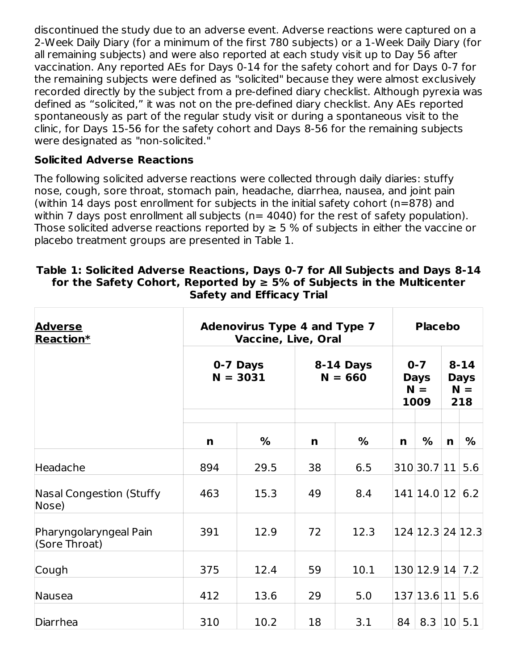discontinued the study due to an adverse event. Adverse reactions were captured on a 2-Week Daily Diary (for a minimum of the first 780 subjects) or a 1-Week Daily Diary (for all remaining subjects) and were also reported at each study visit up to Day 56 after vaccination. Any reported AEs for Days 0-14 for the safety cohort and for Days 0-7 for the remaining subjects were defined as "solicited" because they were almost exclusively recorded directly by the subject from a pre-defined diary checklist. Although pyrexia was defined as "solicited," it was not on the pre-defined diary checklist. Any AEs reported spontaneously as part of the regular study visit or during a spontaneous visit to the clinic, for Days 15-56 for the safety cohort and Days 8-56 for the remaining subjects were designated as "non-solicited."

### **Solicited Adverse Reactions**

The following solicited adverse reactions were collected through daily diaries: stuffy nose, cough, sore throat, stomach pain, headache, diarrhea, nausea, and joint pain (within 14 days post enrollment for subjects in the initial safety cohort (n=878) and within 7 days post enrollment all subjects (n= 4040) for the rest of safety population). Those solicited adverse reactions reported by  $\geq 5$  % of subjects in either the vaccine or placebo treatment groups are presented in Table 1.

| <b>Adverse</b><br><b>Reaction*</b>      |             | <b>Adenovirus Type 4 and Type 7</b><br>Vaccine, Live, Oral |    |                        |             | <b>Placebo</b>                          |             |                                         |  |
|-----------------------------------------|-------------|------------------------------------------------------------|----|------------------------|-------------|-----------------------------------------|-------------|-----------------------------------------|--|
|                                         |             | 0-7 Days<br>$N = 3031$                                     |    | 8-14 Days<br>$N = 660$ |             | $0 - 7$<br><b>Days</b><br>$N =$<br>1009 |             | $8 - 14$<br><b>Days</b><br>$N =$<br>218 |  |
|                                         | $\mathbf n$ | %                                                          | n  | %                      | $\mathbf n$ | $\%$                                    | $\mathbf n$ | $\frac{9}{6}$                           |  |
| Headache                                | 894         | 29.5                                                       | 38 | 6.5                    |             | 310 30.7 11                             |             | 5.6                                     |  |
| Nasal Congestion (Stuffy<br>Nose)       | 463         | 15.3                                                       | 49 | 8.4                    |             | 141 14.0 12                             |             | 6.2                                     |  |
| Pharyngolaryngeal Pain<br>(Sore Throat) | 391         | 12.9                                                       | 72 | 12.3                   |             | 124 12.3 24 12.3                        |             |                                         |  |
| Cough                                   | 375         | 12.4                                                       | 59 | 10.1                   |             | 130 12.9 14                             |             | 7.2                                     |  |
| Nausea                                  | 412         | 13.6                                                       | 29 | 5.0                    |             | 137 13.6 11                             |             | 5.6                                     |  |
| Diarrhea                                | 310         | 10.2                                                       | 18 | 3.1                    | 84          | 8.3                                     |             | $ 10 $ 5.1                              |  |

#### **Table 1: Solicited Adverse Reactions, Days 0-7 for All Subjects and Days 8-14 for the Safety Cohort, Reported by ≥ 5% of Subjects in the Multicenter Safety and Efficacy Trial**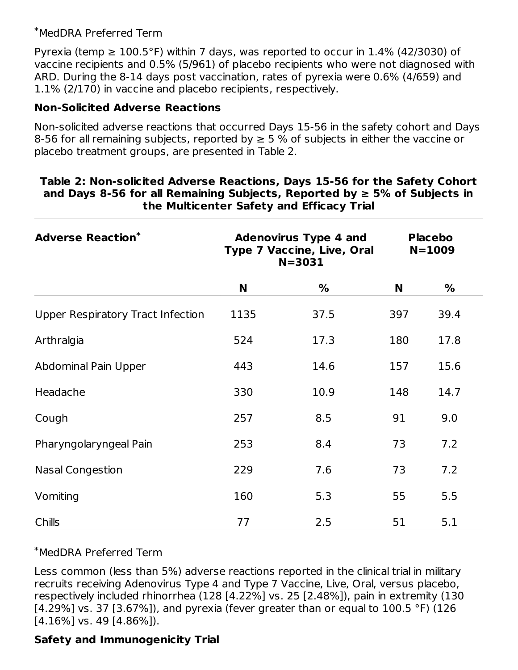#### MedDRA Preferred Term \*

Pyrexia (temp  $\geq 100.5^{\circ}$ F) within 7 days, was reported to occur in 1.4% (42/3030) of vaccine recipients and 0.5% (5/961) of placebo recipients who were not diagnosed with ARD. During the 8-14 days post vaccination, rates of pyrexia were 0.6% (4/659) and 1.1% (2/170) in vaccine and placebo recipients, respectively.

#### **Non-Solicited Adverse Reactions**

Non-solicited adverse reactions that occurred Days 15-56 in the safety cohort and Days 8-56 for all remaining subjects, reported by  $\geq$  5 % of subjects in either the vaccine or placebo treatment groups, are presented in Table 2.

| <b>Adverse Reaction*</b>          |      | <b>Adenovirus Type 4 and</b><br><b>Type 7 Vaccine, Live, Oral</b><br>$N = 3031$ | <b>Placebo</b><br>$N = 1009$ |      |
|-----------------------------------|------|---------------------------------------------------------------------------------|------------------------------|------|
|                                   | N    | %                                                                               | N                            | %    |
| Upper Respiratory Tract Infection | 1135 | 37.5                                                                            | 397                          | 39.4 |
| Arthralgia                        | 524  | 17.3                                                                            | 180                          | 17.8 |
| Abdominal Pain Upper              | 443  | 14.6                                                                            | 157                          | 15.6 |
| Headache                          | 330  | 10.9                                                                            | 148                          | 14.7 |
| Cough                             | 257  | 8.5                                                                             | 91                           | 9.0  |
| Pharyngolaryngeal Pain            | 253  | 8.4                                                                             | 73                           | 7.2  |
| <b>Nasal Congestion</b>           | 229  | 7.6                                                                             | 73                           | 7.2  |
| Vomiting                          | 160  | 5.3                                                                             | 55                           | 5.5  |
| Chills                            | 77   | 2.5                                                                             | 51                           | 5.1  |

#### **Table 2: Non-solicited Adverse Reactions, Days 15-56 for the Safety Cohort and Days 8-56 for all Remaining Subjects, Reported by ≥ 5% of Subjects in the Multicenter Safety and Efficacy Trial**

#### MedDRA Preferred Term \*

Less common (less than 5%) adverse reactions reported in the clinical trial in military recruits receiving Adenovirus Type 4 and Type 7 Vaccine, Live, Oral, versus placebo, respectively included rhinorrhea (128 [4.22%] vs. 25 [2.48%]), pain in extremity (130 [4.29%] vs. 37 [3.67%]), and pyrexia (fever greater than or equal to  $100.5 \text{ }^{\circ}\text{F}$ ) (126 [4.16%] vs. 49 [4.86%]).

### **Safety and Immunogenicity Trial**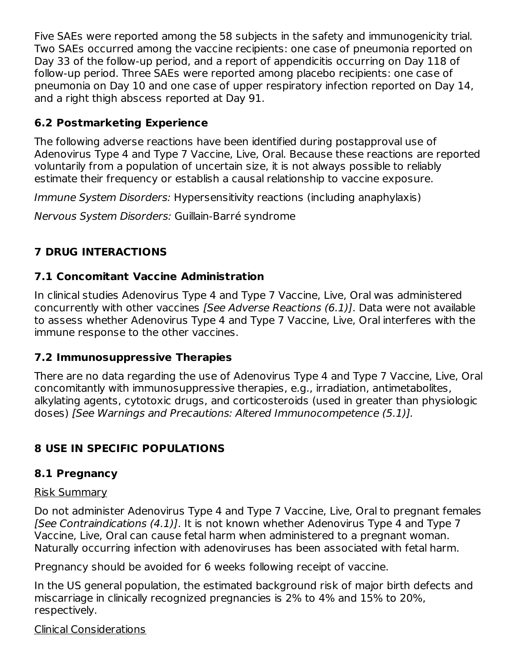Five SAEs were reported among the 58 subjects in the safety and immunogenicity trial. Two SAEs occurred among the vaccine recipients: one case of pneumonia reported on Day 33 of the follow-up period, and a report of appendicitis occurring on Day 118 of follow-up period. Three SAEs were reported among placebo recipients: one case of pneumonia on Day 10 and one case of upper respiratory infection reported on Day 14, and a right thigh abscess reported at Day 91.

# **6.2 Postmarketing Experience**

The following adverse reactions have been identified during postapproval use of Adenovirus Type 4 and Type 7 Vaccine, Live, Oral. Because these reactions are reported voluntarily from a population of uncertain size, it is not always possible to reliably estimate their frequency or establish a causal relationship to vaccine exposure.

Immune System Disorders: Hypersensitivity reactions (including anaphylaxis)

Nervous System Disorders: Guillain-Barré syndrome

# **7 DRUG INTERACTIONS**

# **7.1 Concomitant Vaccine Administration**

In clinical studies Adenovirus Type 4 and Type 7 Vaccine, Live, Oral was administered concurrently with other vaccines [See Adverse Reactions (6.1)]. Data were not available to assess whether Adenovirus Type 4 and Type 7 Vaccine, Live, Oral interferes with the immune response to the other vaccines.

# **7.2 Immunosuppressive Therapies**

There are no data regarding the use of Adenovirus Type 4 and Type 7 Vaccine, Live, Oral concomitantly with immunosuppressive therapies, e.g., irradiation, antimetabolites, alkylating agents, cytotoxic drugs, and corticosteroids (used in greater than physiologic doses) [See Warnings and Precautions: Altered Immunocompetence (5.1)].

# **8 USE IN SPECIFIC POPULATIONS**

# **8.1 Pregnancy**

# Risk Summary

Do not administer Adenovirus Type 4 and Type 7 Vaccine, Live, Oral to pregnant females [See Contraindications (4.1)]. It is not known whether Adenovirus Type 4 and Type 7 Vaccine, Live, Oral can cause fetal harm when administered to a pregnant woman. Naturally occurring infection with adenoviruses has been associated with fetal harm.

Pregnancy should be avoided for 6 weeks following receipt of vaccine.

In the US general population, the estimated background risk of major birth defects and miscarriage in clinically recognized pregnancies is 2% to 4% and 15% to 20%, respectively.

Clinical Considerations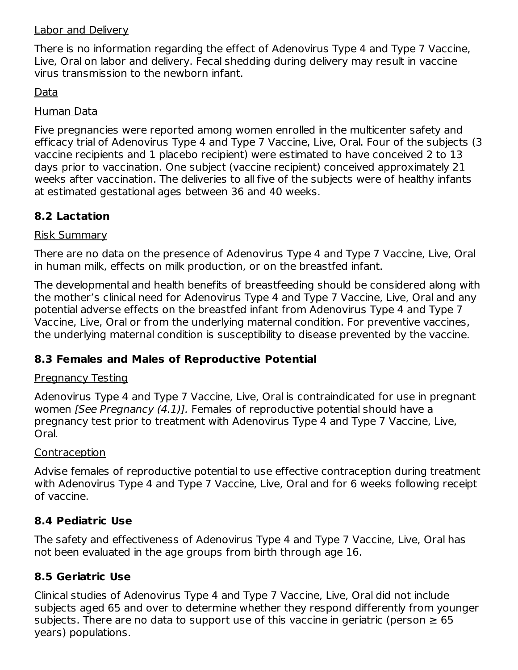#### Labor and Delivery

There is no information regarding the effect of Adenovirus Type 4 and Type 7 Vaccine, Live, Oral on labor and delivery. Fecal shedding during delivery may result in vaccine virus transmission to the newborn infant.

#### Data

#### Human Data

Five pregnancies were reported among women enrolled in the multicenter safety and efficacy trial of Adenovirus Type 4 and Type 7 Vaccine, Live, Oral. Four of the subjects (3 vaccine recipients and 1 placebo recipient) were estimated to have conceived 2 to 13 days prior to vaccination. One subject (vaccine recipient) conceived approximately 21 weeks after vaccination. The deliveries to all five of the subjects were of healthy infants at estimated gestational ages between 36 and 40 weeks.

### **8.2 Lactation**

#### Risk Summary

There are no data on the presence of Adenovirus Type 4 and Type 7 Vaccine, Live, Oral in human milk, effects on milk production, or on the breastfed infant.

The developmental and health benefits of breastfeeding should be considered along with the mother's clinical need for Adenovirus Type 4 and Type 7 Vaccine, Live, Oral and any potential adverse effects on the breastfed infant from Adenovirus Type 4 and Type 7 Vaccine, Live, Oral or from the underlying maternal condition. For preventive vaccines, the underlying maternal condition is susceptibility to disease prevented by the vaccine.

### **8.3 Females and Males of Reproductive Potential**

#### Pregnancy Testing

Adenovirus Type 4 and Type 7 Vaccine, Live, Oral is contraindicated for use in pregnant women *[See Pregnancy (4.1)]*. Females of reproductive potential should have a pregnancy test prior to treatment with Adenovirus Type 4 and Type 7 Vaccine, Live, Oral.

#### **Contraception**

Advise females of reproductive potential to use effective contraception during treatment with Adenovirus Type 4 and Type 7 Vaccine, Live, Oral and for 6 weeks following receipt of vaccine.

### **8.4 Pediatric Use**

The safety and effectiveness of Adenovirus Type 4 and Type 7 Vaccine, Live, Oral has not been evaluated in the age groups from birth through age 16.

### **8.5 Geriatric Use**

Clinical studies of Adenovirus Type 4 and Type 7 Vaccine, Live, Oral did not include subjects aged 65 and over to determine whether they respond differently from younger subjects. There are no data to support use of this vaccine in geriatric (person  $\geq 65$ years) populations.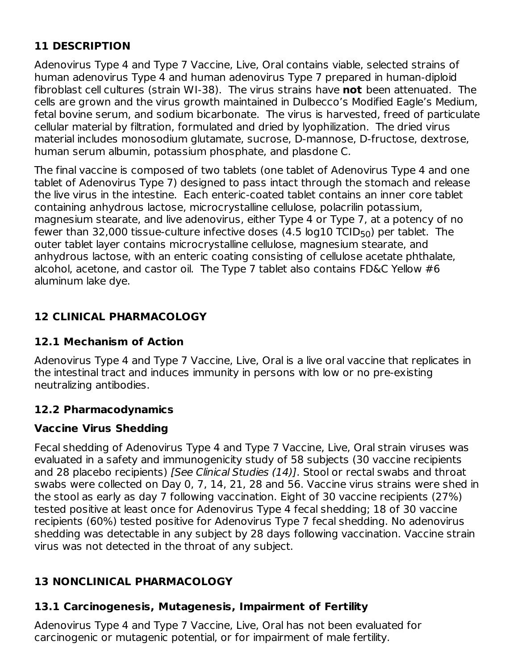# **11 DESCRIPTION**

Adenovirus Type 4 and Type 7 Vaccine, Live, Oral contains viable, selected strains of human adenovirus Type 4 and human adenovirus Type 7 prepared in human-diploid fibroblast cell cultures (strain WI-38). The virus strains have **not** been attenuated. The cells are grown and the virus growth maintained in Dulbecco's Modified Eagle's Medium, fetal bovine serum, and sodium bicarbonate. The virus is harvested, freed of particulate cellular material by filtration, formulated and dried by lyophilization. The dried virus material includes monosodium glutamate, sucrose, D-mannose, D-fructose, dextrose, human serum albumin, potassium phosphate, and plasdone C.

The final vaccine is composed of two tablets (one tablet of Adenovirus Type 4 and one tablet of Adenovirus Type 7) designed to pass intact through the stomach and release the live virus in the intestine. Each enteric-coated tablet contains an inner core tablet containing anhydrous lactose, microcrystalline cellulose, polacrilin potassium, magnesium stearate, and live adenovirus, either Type 4 or Type 7, at a potency of no fewer than 32,000 tissue-culture infective doses (4.5 log10 TCID<sub>50</sub>) per tablet. The outer tablet layer contains microcrystalline cellulose, magnesium stearate, and anhydrous lactose, with an enteric coating consisting of cellulose acetate phthalate, alcohol, acetone, and castor oil. The Type 7 tablet also contains FD&C Yellow #6 aluminum lake dye.

# **12 CLINICAL PHARMACOLOGY**

# **12.1 Mechanism of Action**

Adenovirus Type 4 and Type 7 Vaccine, Live, Oral is a live oral vaccine that replicates in the intestinal tract and induces immunity in persons with low or no pre-existing neutralizing antibodies.

### **12.2 Pharmacodynamics**

### **Vaccine Virus Shedding**

Fecal shedding of Adenovirus Type 4 and Type 7 Vaccine, Live, Oral strain viruses was evaluated in a safety and immunogenicity study of 58 subjects (30 vaccine recipients and 28 placebo recipients) [See Clinical Studies (14)]. Stool or rectal swabs and throat swabs were collected on Day 0, 7, 14, 21, 28 and 56. Vaccine virus strains were shed in the stool as early as day 7 following vaccination. Eight of 30 vaccine recipients (27%) tested positive at least once for Adenovirus Type 4 fecal shedding; 18 of 30 vaccine recipients (60%) tested positive for Adenovirus Type 7 fecal shedding. No adenovirus shedding was detectable in any subject by 28 days following vaccination. Vaccine strain virus was not detected in the throat of any subject.

# **13 NONCLINICAL PHARMACOLOGY**

# **13.1 Carcinogenesis, Mutagenesis, Impairment of Fertility**

Adenovirus Type 4 and Type 7 Vaccine, Live, Oral has not been evaluated for carcinogenic or mutagenic potential, or for impairment of male fertility.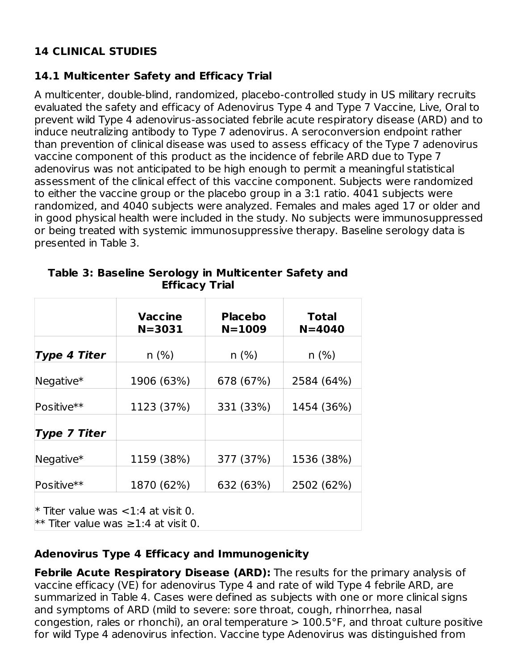### **14 CLINICAL STUDIES**

#### **14.1 Multicenter Safety and Efficacy Trial**

A multicenter, double-blind, randomized, placebo-controlled study in US military recruits evaluated the safety and efficacy of Adenovirus Type 4 and Type 7 Vaccine, Live, Oral to prevent wild Type 4 adenovirus-associated febrile acute respiratory disease (ARD) and to induce neutralizing antibody to Type 7 adenovirus. A seroconversion endpoint rather than prevention of clinical disease was used to assess efficacy of the Type 7 adenovirus vaccine component of this product as the incidence of febrile ARD due to Type 7 adenovirus was not anticipated to be high enough to permit a meaningful statistical assessment of the clinical effect of this vaccine component. Subjects were randomized to either the vaccine group or the placebo group in a 3:1 ratio. 4041 subjects were randomized, and 4040 subjects were analyzed. Females and males aged 17 or older and in good physical health were included in the study. No subjects were immunosuppressed or being treated with systemic immunosuppressive therapy. Baseline serology data is presented in Table 3.

|                     | Vaccine<br>$N = 3031$ | <b>Placebo</b><br>$N = 1009$ | <b>Total</b><br>$N = 4040$ |
|---------------------|-----------------------|------------------------------|----------------------------|
| <b>Type 4 Titer</b> | n(%)                  | $n$ (%)                      | n(%)                       |
| Negative*           | 1906 (63%)            | 678 (67%)                    | 2584 (64%)                 |
| Positive**          | 1123 (37%)            | 331 (33%)                    | 1454 (36%)                 |
| <b>Type 7 Titer</b> |                       |                              |                            |
| Negative*           | 1159 (38%)            | 377 (37%)                    | 1536 (38%)                 |
| Positive**          | 1870 (62%)            | 632 (63%)                    | 2502 (62%)                 |

**Table 3: Baseline Serology in Multicenter Safety and Efficacy Trial**

### **Adenovirus Type 4 Efficacy and Immunogenicity**

**Febrile Acute Respiratory Disease (ARD):** The results for the primary analysis of vaccine efficacy (VE) for adenovirus Type 4 and rate of wild Type 4 febrile ARD, are summarized in Table 4. Cases were defined as subjects with one or more clinical signs and symptoms of ARD (mild to severe: sore throat, cough, rhinorrhea, nasal congestion, rales or rhonchi), an oral temperature  $> 100.5$ °F, and throat culture positive for wild Type 4 adenovirus infection. Vaccine type Adenovirus was distinguished from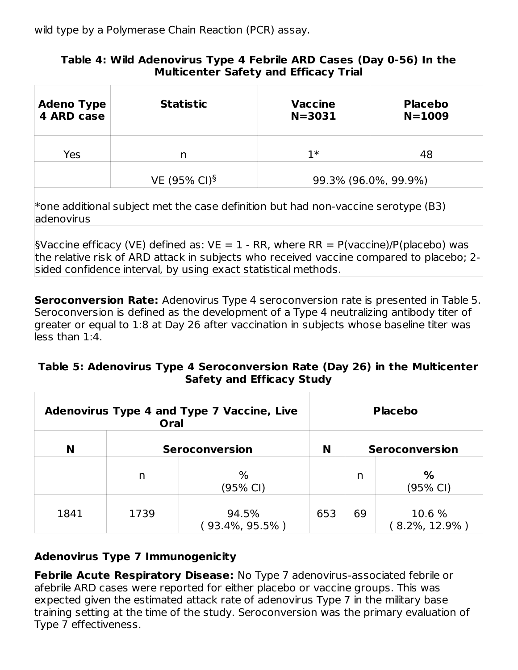wild type by a Polymerase Chain Reaction (PCR) assay.

#### **Table 4: Wild Adenovirus Type 4 Febrile ARD Cases (Day 0-56) In the Multicenter Safety and Efficacy Trial**

| <b>Adeno Type</b><br>4 ARD case | <b>Statistic</b>         | <b>Vaccine</b><br>$N = 3031$ | <b>Placebo</b><br>$N = 1009$ |
|---------------------------------|--------------------------|------------------------------|------------------------------|
| Yes                             | n                        | $1*$                         | 48                           |
|                                 | VE (95% CI) <sup>§</sup> | 99.3% (96.0%, 99.9%)         |                              |
|                                 |                          |                              |                              |

\*one additional subject met the case definition but had non-vaccine serotype (B3) adenovirus

SVaccine efficacy (VE) defined as:  $VE = 1$  - RR, where RR = P(vaccine)/P(placebo) was the relative risk of ARD attack in subjects who received vaccine compared to placebo; 2 sided confidence interval, by using exact statistical methods.

**Seroconversion Rate:** Adenovirus Type 4 seroconversion rate is presented in Table 5. Seroconversion is defined as the development of a Type 4 neutralizing antibody titer of greater or equal to 1:8 at Day 26 after vaccination in subjects whose baseline titer was less than 1:4.

#### **Table 5: Adenovirus Type 4 Seroconversion Rate (Day 26) in the Multicenter Safety and Efficacy Study**

| Adenovirus Type 4 and Type 7 Vaccine, Live<br>Oral |                       |                         |     |    | <b>Placebo</b>              |
|----------------------------------------------------|-----------------------|-------------------------|-----|----|-----------------------------|
| N                                                  | <b>Seroconversion</b> |                         |     |    | <b>Seroconversion</b>       |
|                                                    | n                     | %<br>(95% CI)           |     | n  | $\%$<br>$(95% \text{ Cl})$  |
| 1841                                               | 1739                  | 94.5%<br>(93.4%, 95.5%) | 653 | 69 | 10.6 %<br>$(8.2\%, 12.9\%)$ |

### **Adenovirus Type 7 Immunogenicity**

**Febrile Acute Respiratory Disease:** No Type 7 adenovirus-associated febrile or afebrile ARD cases were reported for either placebo or vaccine groups. This was expected given the estimated attack rate of adenovirus Type 7 in the military base training setting at the time of the study. Seroconversion was the primary evaluation of Type 7 effectiveness.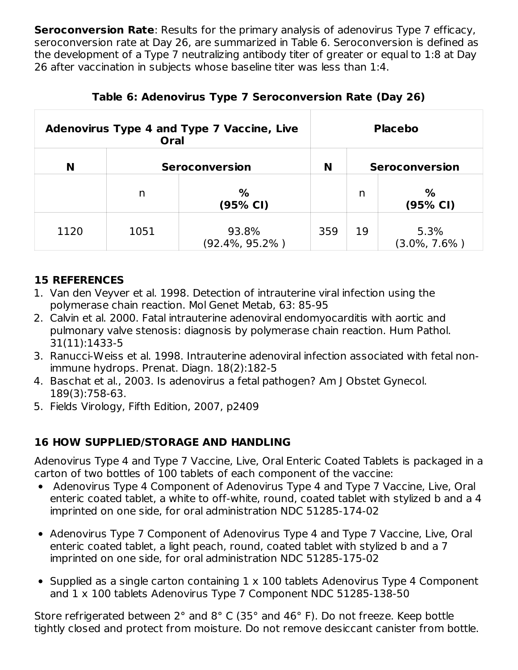**Seroconversion Rate**: Results for the primary analysis of adenovirus Type 7 efficacy, seroconversion rate at Day 26, are summarized in Table 6. Seroconversion is defined as the development of a Type 7 neutralizing antibody titer of greater or equal to 1:8 at Day 26 after vaccination in subjects whose baseline titer was less than 1:4.

|      | Adenovirus Type 4 and Type 7 Vaccine, Live<br>Oral |                             |     | <b>Placebo</b> |                          |
|------|----------------------------------------------------|-----------------------------|-----|----------------|--------------------------|
| N    | <b>Seroconversion</b>                              |                             | N   |                | <b>Seroconversion</b>    |
|      | n                                                  | %<br>(95% CI)               |     | n              | ℅<br>(95% CI)            |
| 1120 | 1051                                               | 93.8%<br>$(92.4\%, 95.2\%)$ | 359 | 19             | 5.3%<br>$(3.0\%, 7.6\%)$ |

# **15 REFERENCES**

- 1. Van den Veyver et al. 1998. Detection of intrauterine viral infection using the polymerase chain reaction. Mol Genet Metab, 63: 85-95
- 2. Calvin et al. 2000. Fatal intrauterine adenoviral endomyocarditis with aortic and pulmonary valve stenosis: diagnosis by polymerase chain reaction. Hum Pathol. 31(11):1433-5
- 3. Ranucci-Weiss et al. 1998. Intrauterine adenoviral infection associated with fetal nonimmune hydrops. Prenat. Diagn. 18(2):182-5
- 4. Baschat et al., 2003. Is adenovirus a fetal pathogen? Am J Obstet Gynecol. 189(3):758-63.
- 5. Fields Virology, Fifth Edition, 2007, p2409

# **16 HOW SUPPLIED/STORAGE AND HANDLING**

Adenovirus Type 4 and Type 7 Vaccine, Live, Oral Enteric Coated Tablets is packaged in a carton of two bottles of 100 tablets of each component of the vaccine:

- Adenovirus Type 4 Component of Adenovirus Type 4 and Type 7 Vaccine, Live, Oral enteric coated tablet, a white to off-white, round, coated tablet with stylized b and a 4 imprinted on one side, for oral administration NDC 51285-174-02
- Adenovirus Type 7 Component of Adenovirus Type 4 and Type 7 Vaccine, Live, Oral enteric coated tablet, a light peach, round, coated tablet with stylized b and a 7 imprinted on one side, for oral administration NDC 51285-175-02
- Supplied as a single carton containing 1 x 100 tablets Adenovirus Type 4 Component and 1 x 100 tablets Adenovirus Type 7 Component NDC 51285-138-50

Store refrigerated between 2° and 8° C (35° and 46° F). Do not freeze. Keep bottle tightly closed and protect from moisture. Do not remove desiccant canister from bottle.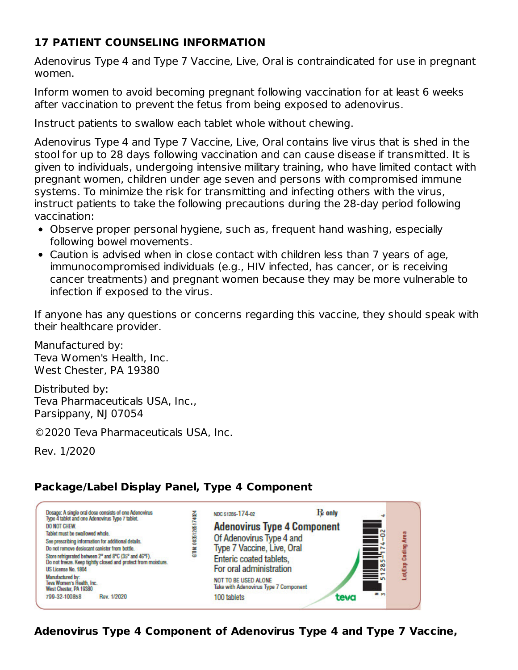### **17 PATIENT COUNSELING INFORMATION**

Adenovirus Type 4 and Type 7 Vaccine, Live, Oral is contraindicated for use in pregnant women.

Inform women to avoid becoming pregnant following vaccination for at least 6 weeks after vaccination to prevent the fetus from being exposed to adenovirus.

Instruct patients to swallow each tablet whole without chewing.

Adenovirus Type 4 and Type 7 Vaccine, Live, Oral contains live virus that is shed in the stool for up to 28 days following vaccination and can cause disease if transmitted. It is given to individuals, undergoing intensive military training, who have limited contact with pregnant women, children under age seven and persons with compromised immune systems. To minimize the risk for transmitting and infecting others with the virus, instruct patients to take the following precautions during the 28-day period following vaccination:

- Observe proper personal hygiene, such as, frequent hand washing, especially following bowel movements.
- Caution is advised when in close contact with children less than 7 years of age, immunocompromised individuals (e.g., HIV infected, has cancer, or is receiving cancer treatments) and pregnant women because they may be more vulnerable to infection if exposed to the virus.

If anyone has any questions or concerns regarding this vaccine, they should speak with their healthcare provider.

Manufactured by: Teva Women's Health, Inc. West Chester, PA 19380

Distributed by: Teva Pharmaceuticals USA, Inc., Parsippany, NJ 07054

©2020 Teva Pharmaceuticals USA, Inc.

Rev. 1/2020

### **Package/Label Display Panel, Type 4 Component**

| Dosage: A single oral dose consists of one Adenovirus<br>Type 4 tablet and one Adenovirus Type 7 tablet.<br><b>DO NOT CHEW.</b><br>Tablet must be swallowed whole.<br>See prescribing information for additional details.<br>Do not remove desiccant canister from bottle.<br>Store refrigerated between 2° and 8°C (35° and 46°F).<br>Do not freeze. Keep tightly closed and protect from moisture.<br>US License No. 1804<br>Manufactured by:<br>Teva Women's Health, Inc.<br>West Chester, PA 19380<br>799-32-100858<br>Rev. 1/2020 | GTIN: 0035128517402 | NDC 51285-174-02<br><b>Adenovirus Type 4 Component</b><br>Of Adenovirus Type 4 and<br>Type 7 Vaccine, Live, Oral<br>Enteric coated tablets.<br>For oral administration<br><b>NOT TO BE USED ALONE</b><br>Take with Adenovirus Type 7 Component<br>100 tablets | $\mathbf R$ only<br>teva | <b>EM</b> | Coding<br>ot/Exp |
|----------------------------------------------------------------------------------------------------------------------------------------------------------------------------------------------------------------------------------------------------------------------------------------------------------------------------------------------------------------------------------------------------------------------------------------------------------------------------------------------------------------------------------------|---------------------|---------------------------------------------------------------------------------------------------------------------------------------------------------------------------------------------------------------------------------------------------------------|--------------------------|-----------|------------------|
|                                                                                                                                                                                                                                                                                                                                                                                                                                                                                                                                        |                     |                                                                                                                                                                                                                                                               |                          |           |                  |

**Adenovirus Type 4 Component of Adenovirus Type 4 and Type 7 Vaccine,**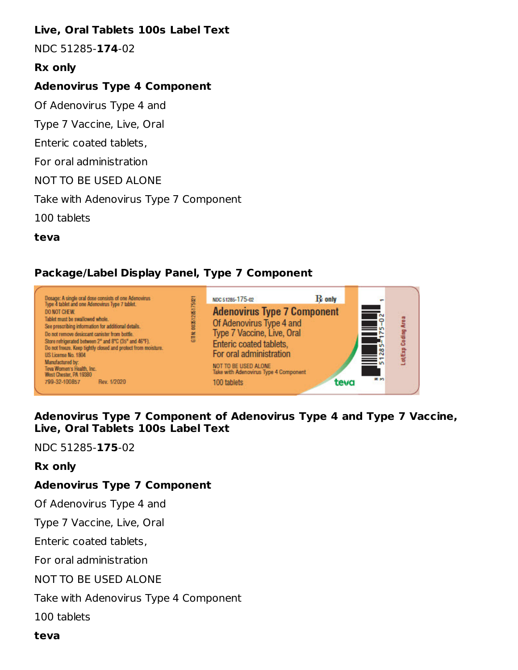### **Live, Oral Tablets 100s Label Text**

NDC 51285-**174**-02

#### **Rx only**

#### **Adenovirus Type 4 Component**

Of Adenovirus Type 4 and

Type 7 Vaccine, Live, Oral

Enteric coated tablets,

For oral administration

NOT TO BE USED ALONE

Take with Adenovirus Type 7 Component

100 tablets

**teva**

# **Package/Label Display Panel, Type 7 Component**



#### **Adenovirus Type 7 Component of Adenovirus Type 4 and Type 7 Vaccine, Live, Oral Tablets 100s Label Text**

NDC 51285-**175**-02

#### **Rx only**

### **Adenovirus Type 7 Component**

Of Adenovirus Type 4 and

Type 7 Vaccine, Live, Oral

Enteric coated tablets,

For oral administration

NOT TO BE USED ALONE

Take with Adenovirus Type 4 Component

100 tablets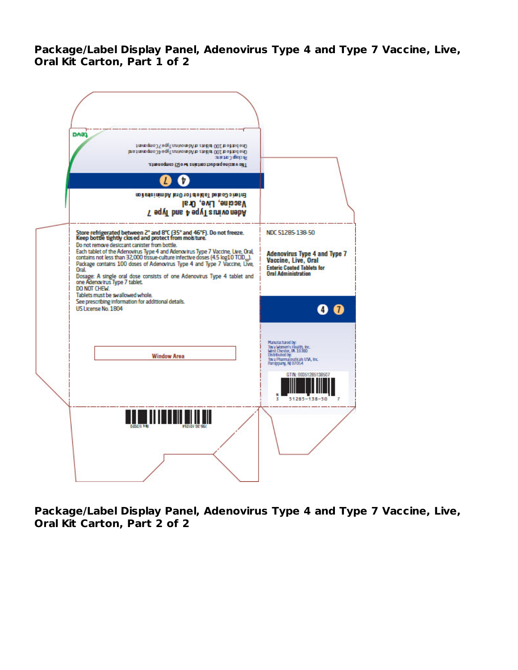**Package/Label Display Panel, Adenovirus Type 4 and Type 7 Vaccine, Live, Oral Kit Carton, Part 1 of 2**

| One betee 100 ablets of Adenovins Type 7 Component<br>One botter 100 tabas of Admonitris Type 4Component and<br>आ प्राथमा की प्रशासन<br>Ths vacing product contains two (2) components.                                                                                                                                                                                                                                                                       |
|---------------------------------------------------------------------------------------------------------------------------------------------------------------------------------------------------------------------------------------------------------------------------------------------------------------------------------------------------------------------------------------------------------------------------------------------------------------|
| more coated Tables to the kind Administration                                                                                                                                                                                                                                                                                                                                                                                                                 |
| Vaccine, Live, Oral<br>Aden ovins Type 4 and Type 7                                                                                                                                                                                                                                                                                                                                                                                                           |
| Store refrigerated between 2° and 8°C (35° and 46°F). Do not freeze.<br>Keep bottle tightly closed and protect from moisture.<br>NDC 51285-138-50                                                                                                                                                                                                                                                                                                             |
| Each tablet of the Adenovirus Type 4 and Adenovirus Type 7 Vaccine, Live, Oral,<br><b>Adenovirus Type 4 and Type 7</b><br>contains not less than 32,000 tissue-culture infective doses (4.5 log10 TCID.,.).<br>Vaccine, Live, Oral<br>Package contains 100 doses of Adenovirus Type 4 and Type 7 Vaccine, Live,<br><b>Enteric Coated Tablets for</b><br><b>Oral Administration</b><br>Dosage: A single oral dose consists of one Adenovirus Type 4 tablet and |
| $\blacksquare$                                                                                                                                                                                                                                                                                                                                                                                                                                                |
| Manufactured by:<br>Tova Women's Health, Inc.<br>Wast Chester, IA 19380<br><b>Distributed by:</b><br>Tova Pharmacouticals USA, Inc.<br>Parsippany, NJ 07054                                                                                                                                                                                                                                                                                                   |
| TIN: ODAS12851<br>τ<br>51285-138-50                                                                                                                                                                                                                                                                                                                                                                                                                           |
|                                                                                                                                                                                                                                                                                                                                                                                                                                                               |
|                                                                                                                                                                                                                                                                                                                                                                                                                                                               |

**Package/Label Display Panel, Adenovirus Type 4 and Type 7 Vaccine, Live, Oral Kit Carton, Part 2 of 2**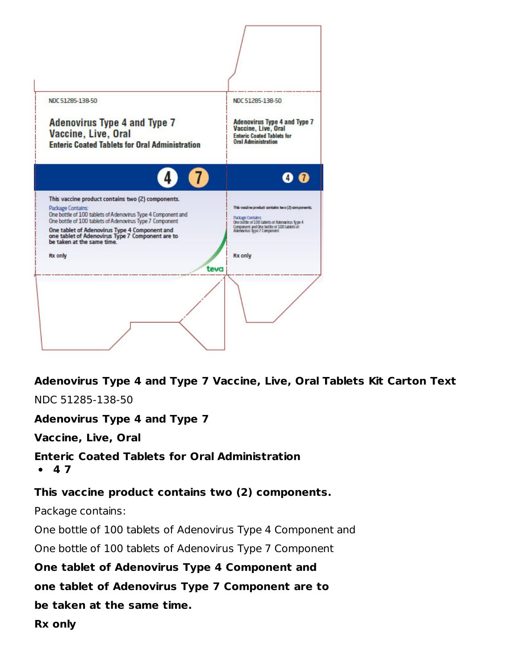

**Adenovirus Type 4 and Type 7 Vaccine, Live, Oral Tablets Kit Carton Text**

NDC 51285-138-50

**Adenovirus Type 4 and Type 7**

**Vaccine, Live, Oral**

# **Enteric Coated Tablets for Oral Administration**

**4 7**

# **This vaccine product contains two (2) components.**

Package contains:

One bottle of 100 tablets of Adenovirus Type 4 Component and

One bottle of 100 tablets of Adenovirus Type 7 Component

**One tablet of Adenovirus Type 4 Component and**

**one tablet of Adenovirus Type 7 Component are to**

**be taken at the same time.**

**Rx only**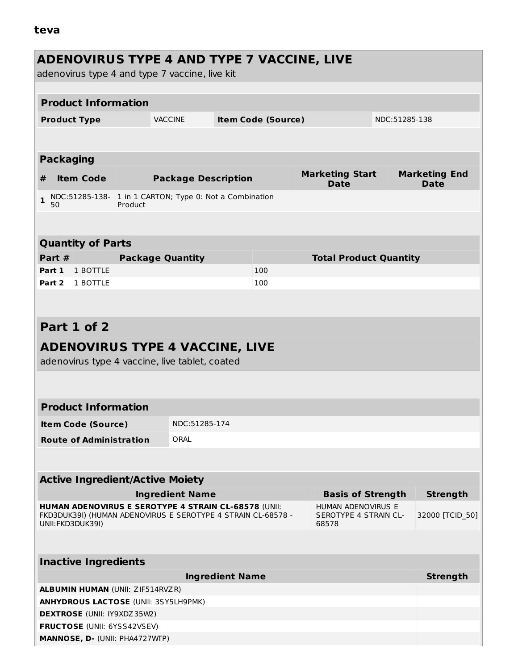# **ADENOVIRUS TYPE 4 AND TYPE 7 VACCINE, LIVE** adenovirus type 4 and type 7 vaccine, live kit **Product Information Product Type** VACCINE **Item Code (Source)** NDC:51285-138 **Packaging # Item Code Package Description Marketing Start Date Marketing End Date 1** NDC:51285-138- 1 in 1 CARTON; Type 0: Not a Combination 50 Product **Quantity of Parts Part # Package Quantity Total Product Quantity Part 1** 1 BOTTLE 100 **Part 2** 1 BOTTLE 100 **Part 1 of 2 ADENOVIRUS TYPE 4 VACCINE, LIVE** adenovirus type 4 vaccine, live tablet, coated **Product Information Item Code (Source)** NDC:51285-174 **Route of Administration** ORAL **Active Ingredient/Active Moiety Ingredient Name Basis of Strength Strength HUMAN ADENOVIRUS E SEROTYPE 4 STRAIN CL-68578** (UNII: FKD3DUK39I) (HUMAN ADENOVIRUS E SEROTYPE 4 STRAIN CL-68578 - UNII:FKD3DUK39I) HUMAN ADENOVIRUS E SEROTYPE 4 STRAIN CL-68578 32000 [TCID\_50] **Inactive Ingredients Ingredient Name Strength ALBUMIN HUMAN** (UNII: ZIF514RVZR) **ANHYDROUS LACTOSE** (UNII: 3SY5LH9PMK) **DEXTROSE** (UNII: IY9XDZ35W2) **FRUCTOSE** (UNII: 6YSS42VSEV) **MANNOSE, D-** (UNII: PHA4727WTP)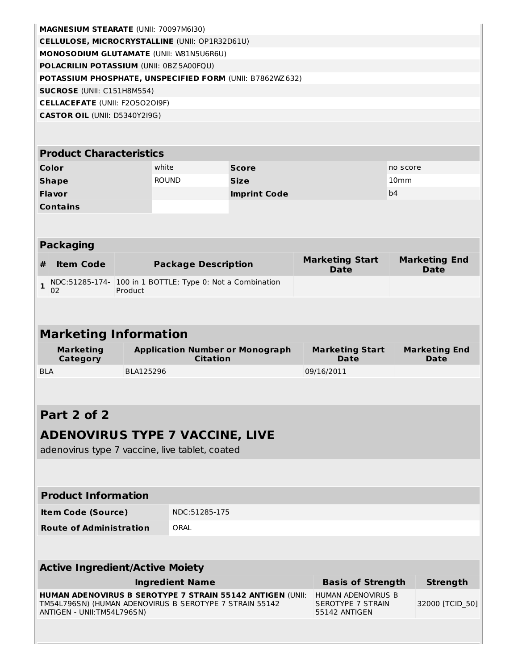| <b>MAGNESIUM STEARATE (UNII: 70097M6I30)</b>   |                                        |           |                                                           |                                                                  |                                       |      |                                     |
|------------------------------------------------|----------------------------------------|-----------|-----------------------------------------------------------|------------------------------------------------------------------|---------------------------------------|------|-------------------------------------|
| CELLULOSE, MICROCRYSTALLINE (UNII: OP1R32D61U) |                                        |           |                                                           |                                                                  |                                       |      |                                     |
| MONOSODIUM GLUTAMATE (UNII: W81N5U6R6U)        |                                        |           |                                                           |                                                                  |                                       |      |                                     |
|                                                |                                        |           | POLACRILIN POTASSIUM (UNII: 0BZ5A00FQU)                   |                                                                  |                                       |      |                                     |
|                                                |                                        |           |                                                           | POTASSIUM PHOSPHATE, UNSPECIFIED FORM (UNII: B7862WZ632)         |                                       |      |                                     |
|                                                | <b>SUCROSE</b> (UNII: C151H8M554)      |           |                                                           |                                                                  |                                       |      |                                     |
| <b>CELLACEFATE (UNII: F205020I9F)</b>          |                                        |           |                                                           |                                                                  |                                       |      |                                     |
| <b>CASTOR OIL (UNII: D5340Y2I9G)</b>           |                                        |           |                                                           |                                                                  |                                       |      |                                     |
|                                                |                                        |           |                                                           |                                                                  |                                       |      |                                     |
|                                                |                                        |           |                                                           |                                                                  |                                       |      |                                     |
|                                                | <b>Product Characteristics</b>         |           |                                                           |                                                                  |                                       |      |                                     |
| Color                                          |                                        |           | white                                                     | <b>Score</b>                                                     |                                       |      | no score                            |
| <b>Shape</b>                                   |                                        |           | <b>ROUND</b>                                              | <b>Size</b>                                                      |                                       | 10mm |                                     |
| <b>Flavor</b>                                  |                                        |           |                                                           | <b>Imprint Code</b>                                              |                                       | b4   |                                     |
| <b>Contains</b>                                |                                        |           |                                                           |                                                                  |                                       |      |                                     |
|                                                |                                        |           |                                                           |                                                                  |                                       |      |                                     |
|                                                |                                        |           |                                                           |                                                                  |                                       |      |                                     |
|                                                | <b>Packaging</b>                       |           |                                                           |                                                                  |                                       |      |                                     |
| #                                              | <b>Item Code</b>                       |           | <b>Package Description</b>                                |                                                                  | <b>Marketing Start</b><br><b>Date</b> |      | <b>Marketing End</b><br><b>Date</b> |
| 1                                              |                                        |           | NDC:51285-174- 100 in 1 BOTTLE; Type 0: Not a Combination |                                                                  |                                       |      |                                     |
| 02                                             |                                        | Product   |                                                           |                                                                  |                                       |      |                                     |
|                                                |                                        |           |                                                           |                                                                  |                                       |      |                                     |
|                                                |                                        |           |                                                           |                                                                  |                                       |      |                                     |
|                                                |                                        |           |                                                           |                                                                  |                                       |      |                                     |
|                                                |                                        |           |                                                           |                                                                  |                                       |      |                                     |
|                                                | <b>Marketing Information</b>           |           |                                                           |                                                                  |                                       |      |                                     |
|                                                | <b>Marketing</b><br>Category           |           | <b>Application Number or Monograph</b><br><b>Citation</b> |                                                                  | <b>Marketing Start</b><br>Date        |      | <b>Marketing End</b><br><b>Date</b> |
| <b>BLA</b>                                     |                                        | BLA125296 |                                                           |                                                                  | 09/16/2011                            |      |                                     |
|                                                |                                        |           |                                                           |                                                                  |                                       |      |                                     |
|                                                |                                        |           |                                                           |                                                                  |                                       |      |                                     |
|                                                | Part 2 of 2                            |           |                                                           |                                                                  |                                       |      |                                     |
|                                                |                                        |           |                                                           |                                                                  |                                       |      |                                     |
|                                                |                                        |           | <b>ADENOVIRUS TYPE 7 VACCINE, LIVE</b>                    |                                                                  |                                       |      |                                     |
|                                                |                                        |           | adenovirus type 7 vaccine, live tablet, coated            |                                                                  |                                       |      |                                     |
|                                                |                                        |           |                                                           |                                                                  |                                       |      |                                     |
|                                                |                                        |           |                                                           |                                                                  |                                       |      |                                     |
|                                                | <b>Product Information</b>             |           |                                                           |                                                                  |                                       |      |                                     |
|                                                | <b>Item Code (Source)</b>              |           | NDC:51285-175                                             |                                                                  |                                       |      |                                     |
|                                                | <b>Route of Administration</b>         |           | ORAL                                                      |                                                                  |                                       |      |                                     |
|                                                |                                        |           |                                                           |                                                                  |                                       |      |                                     |
|                                                |                                        |           |                                                           |                                                                  |                                       |      |                                     |
|                                                | <b>Active Ingredient/Active Moiety</b> |           |                                                           |                                                                  |                                       |      |                                     |
|                                                |                                        |           | <b>Ingredient Name</b>                                    |                                                                  | <b>Basis of Strength</b>              |      | <b>Strength</b>                     |
|                                                |                                        |           |                                                           | <b>HUMAN ADENOVIRUS B SEROTYPE 7 STRAIN 55142 ANTIGEN (UNII:</b> | HUMAN ADENOVIRUS B                    |      |                                     |
|                                                |                                        |           | TM54L796SN) (HUMAN ADENOVIRUS B SEROTYPE 7 STRAIN 55142   |                                                                  | SEROTYPE 7 STRAIN                     |      | 32000 [TCID 50]                     |
|                                                | ANTIGEN - UNII: TM54L796SN)            |           |                                                           |                                                                  | 55142 ANTIGEN                         |      |                                     |
|                                                |                                        |           |                                                           |                                                                  |                                       |      |                                     |